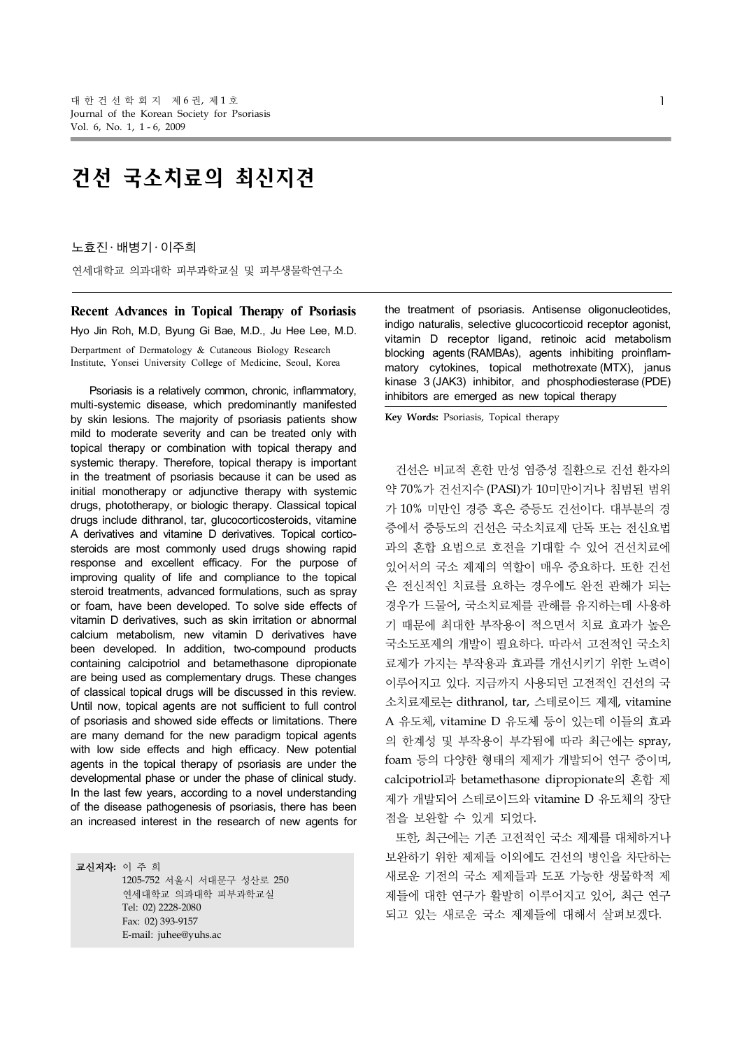# 건선 국소치료의 최신지견

노효진 ․ 배병기 ․ 이주희

연세대학교 의과대학 피부과학교실 및 피부생물학연구소

**Recent Advances in Topical Therapy of Psoriasis** Hyo Jin Roh, M.D, Byung Gi Bae, M.D., Ju Hee Lee, M.D. Derpartment of Dermatology & Cutaneous Biology Research Institute, Yonsei University College of Medicine, Seoul, Korea

Psoriasis is a relatively common, chronic, inflammatory, multi-systemic disease, which predominantly manifested by skin lesions. The majority of psoriasis patients show mild to moderate severity and can be treated only with topical therapy or combination with topical therapy and systemic therapy. Therefore, topical therapy is important in the treatment of psoriasis because it can be used as initial monotherapy or adjunctive therapy with systemic drugs, phototherapy, or biologic therapy. Classical topical drugs include dithranol, tar, glucocorticosteroids, vitamine A derivatives and vitamine D derivatives. Topical corticosteroids are most commonly used drugs showing rapid response and excellent efficacy. For the purpose of improving quality of life and compliance to the topical steroid treatments, advanced formulations, such as spray or foam, have been developed. To solve side effects of vitamin D derivatives, such as skin irritation or abnormal calcium metabolism, new vitamin D derivatives have been developed. In addition, two-compound products containing calcipotriol and betamethasone dipropionate are being used as complementary drugs. These changes of classical topical drugs will be discussed in this review. Until now, topical agents are not sufficient to full control of psoriasis and showed side effects or limitations. There are many demand for the new paradigm topical agents with low side effects and high efficacy. New potential agents in the topical therapy of psoriasis are under the developmental phase or under the phase of clinical study. In the last few years, according to a novel understanding of the disease pathogenesis of psoriasis, there has been an increased interest in the research of new agents for

교신저자**:** 이 주 희 1205-752 서울시 서대문구 성산로 250 연세대학교 의과대학 피부과학교실 Tel: 02) 2228-2080 Fax: 02) 393-9157 E-mail: juhee@yuhs.ac

the treatment of psoriasis. Antisense oligonucleotides, indigo naturalis, selective glucocorticoid receptor agonist, vitamin D receptor ligand, retinoic acid metabolism blocking agents (RAMBAs), agents inhibiting proinflammatory cytokines, topical methotrexate (MTX), janus kinase 3 (JAK3) inhibitor, and phosphodiesterase (PDE) inhibitors are emerged as new topical therapy

**Key Words:** Psoriasis, Topical therapy

건선은 비교적 흔한 만성 염증성 질환으로 건선 환자의 약 70%가 건선지수 (PASI)가 10미만이거나 침범된 범위 가 10% 미만인 경증 혹은 증등도 건선이다. 대부분의 경 증에서 중등도의 건선은 국소치료제 단독 또는 전신요법 과의 혼합 요법으로 호전을 기대할 수 있어 건선치료에 있어서의 국소 제제의 역할이 매우 중요하다. 또한 건선 은 전신적인 치료를 요하는 경우에도 완전 관해가 되는 경우가 드물어, 국소치료제를 관해를 유지하는데 사용하 기 때문에 최대한 부작용이 적으면서 치료 효과가 높은 국소도포제의 개발이 필요하다. 따라서 고전적인 국소치 료제가 가지는 부작용과 효과를 개선시키기 위한 노력이 이루어지고 있다. 지금까지 사용되던 고전적인 건선의 국 소치료제로는 dithranol, tar, 스테로이드 제제, vitamine A 유도체, vitamine D 유도체 등이 있는데 이들의 효과 의 한계성 및 부작용이 부각됨에 따라 최근에는 spray, foam 등의 다양한 형태의 제제가 개발되어 연구 중이며, calcipotriol과 betamethasone dipropionate의 혼합 제 제가 개발되어 스테로이드와 vitamine D 유도체의 장단 점을 보완할 수 있게 되었다.

또한, 최근에는 기존 고전적인 국소 제제를 대체하거나 보완하기 위한 제제들 이외에도 건선의 병인을 차단하는 새로운 기전의 국소 제제들과 도포 가능한 생물학적 제 제들에 대한 연구가 활발히 이루어지고 있어, 최근 연구 되고 있는 새로운 국소 제제들에 대해서 살펴보겠다.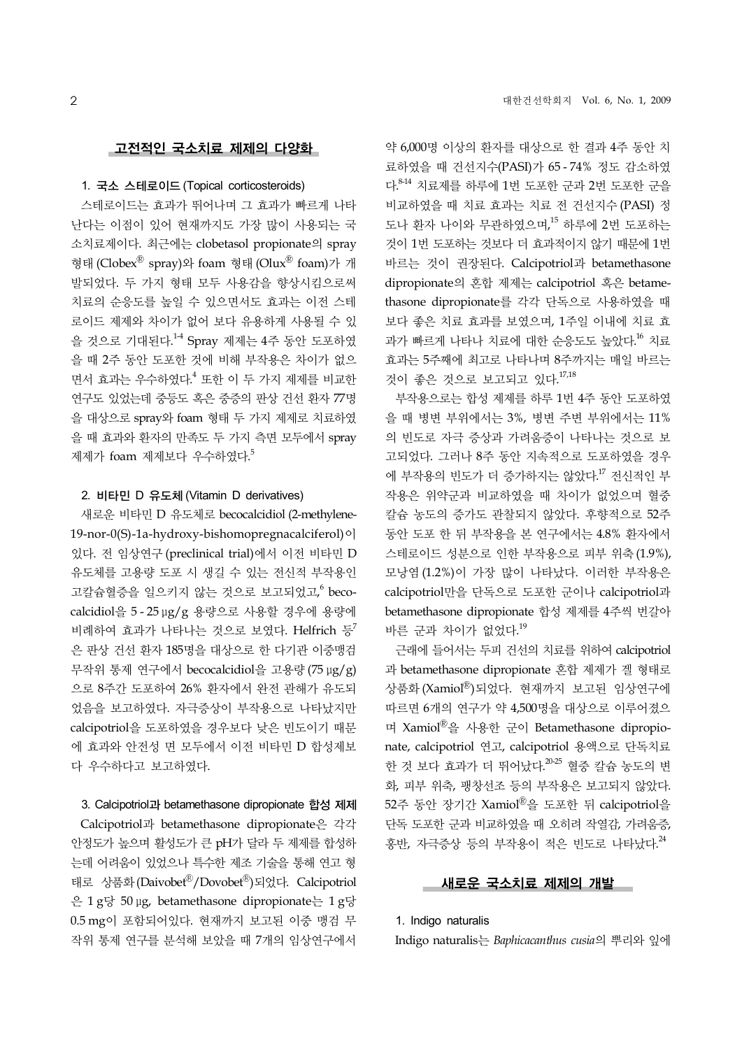## 고전적인 국소치료 제제의 다양화

## 1. 국소 스테로이드 (Topical corticosteroids)

스테로이드는 효과가 뛰어나며 그 효과가 빠르게 나타 난다는 이점이 있어 현재까지도 가장 많이 사용되는 국 소치료제이다. 최근에는 clobetasol propionate의 spray 형태 (Clobex<sup>®</sup> spray)와 foam 형태 (Olux<sup>®</sup> foam)가 개 발되었다. 두 가지 형태 모두 사용감을 향상시킴으로써 치료의 순응도를 높일 수 있으면서도 효과는 이전 스테 로이드 제제와 차이가 없어 보다 유용하게 사용될 수 있 을 것으로 기대된다.<sup>14</sup> Spray 제제는 4주 동안 도포하였 을 때 2주 동안 도포한 것에 비해 부작용은 차이가 없으 면서 효과는 우수하였다. <sup>4</sup> 또한 이 두 가지 제제를 비교한 연구도 있었는데 중등도 혹은 중증의 판상 건선 환자 77명 을 대상으로 spray와 foam 형태 두 가지 제제로 치료하였 을 때 효과와 환자의 만족도 두 가지 측면 모두에서 spray 제제가 foam 제제보다 우수하였다.<sup>5</sup>

## 2. 비타민 D 유도체 (Vitamin D derivatives)

새로운 비타민 D 유도체로 becocalcidiol (2-methylene-19-nor-0(S)-1a-hydroxy-bishomopregnacalciferol)이 있다. 전 임상연구 (preclinical trial)에서 이전 비타민 D 유도체를 고용량 도포 시 생길 수 있는 전신적 부작용인 고칼슘혈증을 일으키지 않는 것으로 보고되었고, 6 becocalcidiol을 5 - 25 μg/g 용량으로 사용할 경우에 용량에 비례하여 효과가 나타나는 것으로 보였다. Helfrich 등 은 판상 건선 환자 185명을 대상으로 한 다기관 이중맹검 무작위 통제 연구에서 becocalcidiol을 고용량 (75 μg/g) 으로 8주간 도포하여 26% 환자에서 완전 관해가 유도되 었음을 보고하였다. 자극증상이 부작용으로 나타났지만 calcipotriol을 도포하였을 경우보다 낮은 빈도이기 때문 에 효과와 안전성 면 모두에서 이전 비타민 D 합성제보 다 우수하다고 보고하였다.

### 3. Calcipotriol과 betamethasone dipropionate 합성 제제

Calcipotriol과 betamethasone dipropionate은 각각 안정도가 높으며 활성도가 큰 pH가 달라 두 제제를 합성하 는데 어려움이 있었으나 특수한 제조 기술을 통해 연고 형 태로 상품화(Daivobet®/Dovobet®)되었다. Calcipotriol 은 1 g당 50 μg, betamethasone dipropionate는 1 g당 0.5 mg이 포함되어있다. 현재까지 보고된 이중 맹검 무 작위 통제 연구를 분석해 보았을 때 7개의 임상연구에서

약 6,000명 이상의 환자를 대상으로 한 결과 4주 동안 치 료하였을 때 건선지수(PASI)가 65 - 74% 정도 감소하였 다. 8-14 치료제를 하루에 1번 도포한 군과 2번 도포한 군을 비교하였을 때 치료 효과는 치료 전 건선지수 (PASI) 정 도나 환자 나이와 무관하였으며, <sup>15</sup> 하루에 2번 도포하는 것이 1번 도포하는 것보다 더 효과적이지 않기 때문에 1번 바르는 것이 권장된다. Calcipotriol과 betamethasone dipropionate의 혼합 제제는 calcipotriol 혹은 betamethasone dipropionate를 각각 단독으로 사용하였을 때 보다 좋은 치료 효과를 보였으며, 1주일 이내에 치료 효 과가 빠르게 나타나 치료에 대한 순응도도 높았다. <sup>16</sup> 치료 효과는 5주째에 최고로 나타나며 8주까지는 매일 바르는 것이 좋은 것으로 보고되고 있다. 17,18

부작용으로는 합성 제제를 하루 1번 4주 동안 도포하였 을 때 병변 부위에서는 3%, 병변 주변 부위에서는 11% 의 빈도로 자극 증상과 가려움증이 나타나는 것으로 보 고되었다. 그러나 8주 동안 지속적으로 도포하였을 경우 에 부작용의 빈도가 더 증가하지는 않았다. <sup>17</sup> 전신적인 부 작용은 위약군과 비교하였을 때 차이가 없었으며 혈중 칼슘 농도의 증가도 관찰되지 않았다. 후향적으로 52주 동안 도포 한 뒤 부작용을 본 연구에서는 4.8% 환자에서 스테로이드 성분으로 인한 부작용으로 피부 위축(1.9%), 모낭염 (1.2%)이 가장 많이 나타났다. 이러한 부작용은 calcipotriol만을 단독으로 도포한 군이나 calcipotriol과 betamethasone dipropionate 합성 제제를 4주씩 번갈아 바른 군과 차이가 없었다. 19

근래에 들어서는 두피 건선의 치료를 위하여 calcipotriol 과 betamethasone dipropionate 혼합 제제가 겔 형태로 상품화 (Xamiol®)되었다. 현재까지 보고된 임상연구에 따르면 6개의 연구가 약 4,500명을 대상으로 이루어졌으 며 Xamiol 을 사용한 군이 Betamethasone dipropionate, calcipotriol 연고, calcipotriol 용액으로 단독치료 한 것 보다 효과가 더 뛰어났다.<sup>20-25</sup> 혈중 칼슘 농도의 변 화, 피부 위축, 팽창선조 등의 부작용은 보고되지 않았다. 52주 동안 장기간 Xamiol®을 도포한 뒤 calcipotriol을 단독 도포한 군과 비교하였을 때 오히려 작열감, 가려움증, 홍반, 자극증상 등의 부작용이 적은 빈도로 나타났다. 24

## 새로운 국소치료 제제의 개발

## 1. Indigo naturalis

Indigo naturalis는 *Baphicacanthus cusia*의 뿌리와 잎에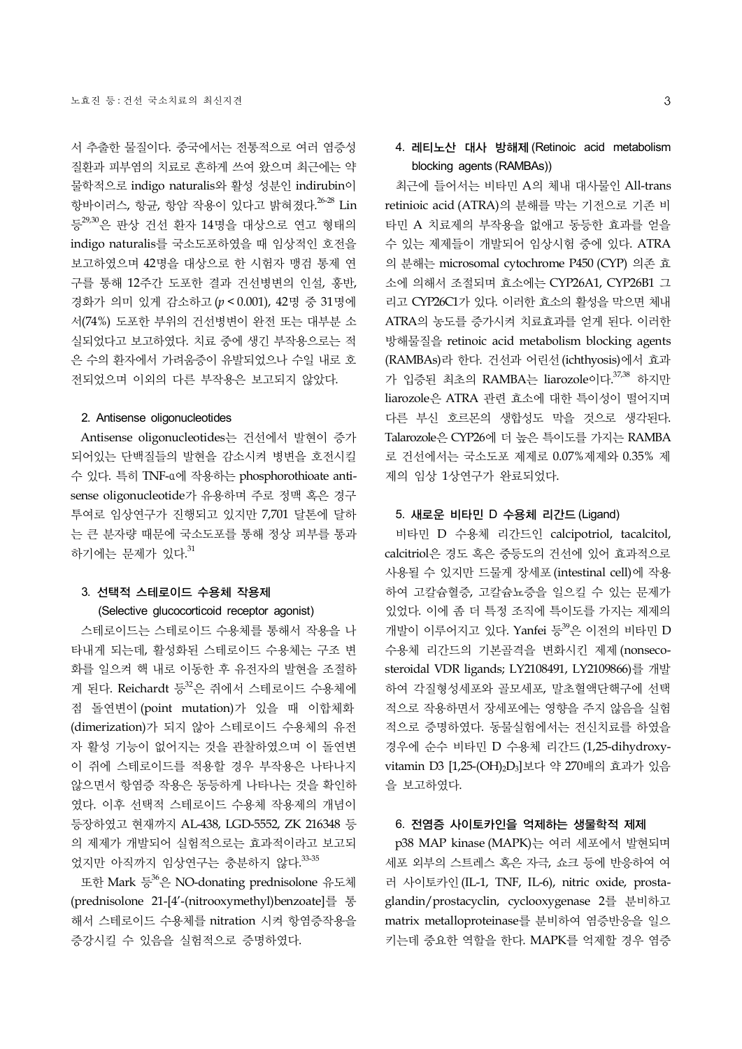서 추출한 물질이다. 중국에서는 전통적으로 여러 염증성 질환과 피부염의 치료로 흔하게 쓰여 왔으며 최근에는 약 물학적으로 indigo naturalis와 활성 성분인 indirubin이 항바이러스, 항균, 항암 작용이 있다고 밝혀졌다.<sup>26-28</sup> Lin 등29,30은 판상 건선 환자 14명을 대상으로 연고 형태의 indigo naturalis를 국소도포하였을 때 임상적인 호전을 보고하였으며 42명을 대상으로 한 시험자 맹검 통제 연 구를 통해 12주간 도포한 결과 건선병변의 인설, 홍반, 경화가 의미 있게 감소하고 (*p* < 0.001), 42명 중 31명에 서(74%) 도포한 부위의 건선병변이 완전 또는 대부분 소 실되었다고 보고하였다. 치료 중에 생긴 부작용으로는 적 은 수의 환자에서 가려움증이 유발되었으나 수일 내로 호 전되었으며 이외의 다른 부작용은 보고되지 않았다.

## 2. Antisense oligonucleotides

Antisense oligonucleotides는 건선에서 발현이 증가 되어있는 단백질들의 발현을 감소시켜 병변을 호전시킬 수 있다. 특히 TNF-α에 작용하는 phosphorothioate antisense oligonucleotide가 유용하며 주로 정맥 혹은 경구 투여로 임상연구가 진행되고 있지만 7,701 달톤에 달하 는 큰 분자량 때문에 국소도포를 통해 정상 피부를 통과 하기에는 문제가 있다. 31

# 3. 선택적 스테로이드 수용체 작용제 (Selective glucocorticoid receptor agonist)

스테로이드는 스테로이드 수용체를 통해서 작용을 나 타내게 되는데, 활성화된 스테로이드 수용체는 구조 변 화를 일으켜 핵 내로 이동한 후 유전자의 발현을 조절하 게 된다. Reichardt 등 <sup>32</sup>은 쥐에서 스테로이드 수용체에 점 돌연변이 (point mutation)가 있을 때 이합체화 (dimerization)가 되지 않아 스테로이드 수용체의 유전 자 활성 기능이 없어지는 것을 관찰하였으며 이 돌연변 이 쥐에 스테로이드를 적용할 경우 부작용은 나타나지 않으면서 항염증 작용은 동등하게 나타나는 것을 확인하 였다. 이후 선택적 스테로이드 수용체 작용제의 개념이 등장하였고 현재까지 AL-438, LGD-5552, ZK 216348 등 의 제제가 개발되어 실험적으로는 효과적이라고 보고되 었지만 아직까지 임상연구는 충분하지 않다.<sup>33-35</sup>

또한 Mark 등 <sup>36</sup>은 NO-donating prednisolone 유도체 (prednisolone 21-[4'-(nitrooxymethyl)benzoate]를 통 해서 스테로이드 수용체를 nitration 시켜 항염증작용을 증강시킬 수 있음을 실험적으로 증명하였다.

# 4. 레티노산 대사 방해제 (Retinoic acid metabolism blocking agents (RAMBAs))

최근에 들어서는 비타민 A의 체내 대사물인 All-trans retinioic acid (ATRA)의 분해를 막는 기전으로 기존 비 타민 A 치료제의 부작용을 없애고 동등한 효과를 얻을 수 있는 제제들이 개발되어 임상시험 중에 있다. ATRA 의 분해는 microsomal cytochrome P450 (CYP) 의존 효 소에 의해서 조절되며 효소에는 CYP26A1, CYP26B1 그 리고 CYP26C1가 있다. 이러한 효소의 활성을 막으면 체내 ATRA의 농도를 증가시켜 치료효과를 얻게 된다. 이러한 방해물질을 retinoic acid metabolism blocking agents (RAMBAs)라 한다. 건선과 어린선(ichthyosis)에서 효과 가 입증된 최초의 RAMBA는 liarozole이다.<sup>37,38</sup> 하지만 liarozole은 ATRA 관련 효소에 대한 특이성이 떨어지며 다른 부신 호르몬의 생합성도 막을 것으로 생각된다. Talarozole은 CYP26에 더 높은 특이도를 가지는 RAMBA 로 건선에서는 국소도포 제제로 0.07%제제와 0.35% 제 제의 임상 1상연구가 완료되었다.

## 5. 새로운 비타민 D 수용체 리간드 (Ligand)

비타민 D 수용체 리간드인 calcipotriol, tacalcitol, calcitriol은 경도 혹은 중등도의 건선에 있어 효과적으로 사용될 수 있지만 드물게 장세포(intestinal cell)에 작용 하여 고칼슘혈증, 고칼슘뇨증을 일으킬 수 있는 문제가 있었다. 이에 좀 더 특정 조직에 특이도를 가지는 제제의 개발이 이루어지고 있다. Yanfei 등<sup>39</sup>은 이전의 비타민 D 수용체 리간드의 기본골격을 변화시킨 제제 (nonsecosteroidal VDR ligands; LY2108491, LY2109866)를 개발 하여 각질형성세포와 골모세포, 말초혈액단핵구에 선택 적으로 작용하면서 장세포에는 영향을 주지 않음을 실험 적으로 증명하였다. 동물실험에서는 전신치료를 하였을 경우에 순수 비타민 D 수용체 리간드 (1,25-dihydroxyvitamin D3 [1,25-(OH)2D3]보다 약 270배의 효과가 있음 을 보고하였다.

## 6. 전염증 사이토카인을 억제하는 생물학적 제제

p38 MAP kinase (MAPK)는 여러 세포에서 발현되며 세포 외부의 스트레스 혹은 자극, 쇼크 등에 반응하여 여 러 사이토카인(IL-1, TNF, IL-6), nitric oxide, prostaglandin/prostacyclin, cyclooxygenase 2를 분비하고 matrix metalloproteinase를 분비하여 염증반응을 일으 키는데 중요한 역할을 한다. MAPK를 억제할 경우 염증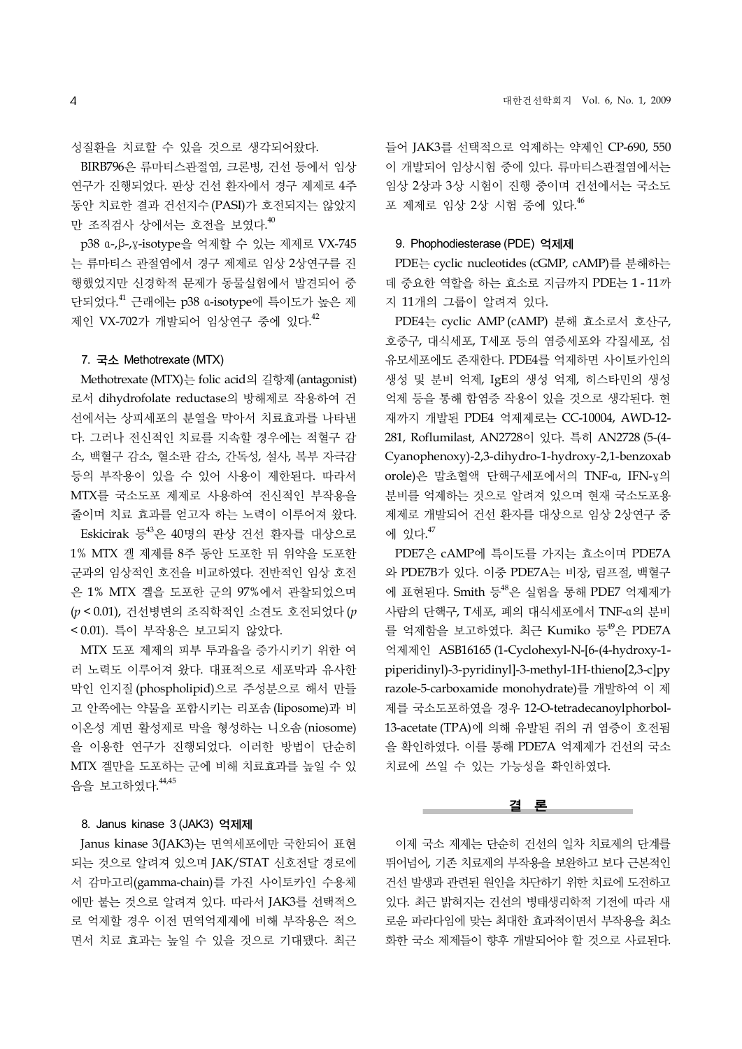성질환을 치료할 수 있을 것으로 생각되어왔다.

BIRB796은 류마티스관절염, 크론병, 건선 등에서 임상 연구가 진행되었다. 판상 건선 환자에서 경구 제제로 4주 동안 치료한 결과 건선지수(PASI)가 호전되지는 않았지 만 조직검사 상에서는 호전을 보였다.<sup>40</sup>

p38 α-,β-,γ-isotype을 억제할 수 있는 제제로 VX-745 는 류마티스 관절염에서 경구 제제로 임상 2상연구를 진 행했었지만 신경학적 문제가 동물실험에서 발견되어 중 단되었다. <sup>41</sup> 근래에는 p38 α-isotype에 특이도가 높은 제 제인 VX-702가 개발되어 임상연구 중에 있다.<sup>42</sup>

## 7. 국소 Methotrexate (MTX)

Methotrexate (MTX)는 folic acid의 길항제(antagonist) 로서 dihydrofolate reductase의 방해제로 작용하여 건 선에서는 상피세포의 분열을 막아서 치료효과를 나타낸 다. 그러나 전신적인 치료를 지속할 경우에는 적혈구 감 소, 백혈구 감소, 혈소판 감소, 간독성, 설사, 복부 자극감 등의 부작용이 있을 수 있어 사용이 제한된다. 따라서 MTX를 국소도포 제제로 사용하여 전신적인 부작용을 줄이며 치료 효과를 얻고자 하는 노력이 이루어져 왔다.

Eskicirak 등 $43$ 은 40명의 판상 건선 환자를 대상으로 1% MTX 겔 제제를 8주 동안 도포한 뒤 위약을 도포한 군과의 임상적인 호전을 비교하였다. 전반적인 임상 호전 은 1% MTX 겔을 도포한 군의 97%에서 관찰되었으며 (*p* < 0.01), 건선병변의 조직학적인 소견도 호전되었다(*p* < 0.01). 특이 부작용은 보고되지 않았다.

MTX 도포 제제의 피부 투과율을 증가시키기 위한 여 러 노력도 이루어져 왔다. 대표적으로 세포막과 유사한 막인 인지질 (phospholipid)으로 주성분으로 해서 만들 고 안쪽에는 약물을 포함시키는 리포솜 (liposome)과 비 이온성 계면 활성제로 막을 형성하는 니오솜 (niosome) 을 이용한 연구가 진행되었다. 이러한 방법이 단순히 MTX 겔만을 도포하는 군에 비해 치료효과를 높일 수 있 음을 보고하였다. 44,45

## 8. Janus kinase 3 (JAK3) 억제제

Janus kinase 3(JAK3)는 면역세포에만 국한되어 표현 되는 것으로 알려져 있으며 JAK/STAT 신호전달 경로에 서 감마고리(gamma-chain)를 가진 사이토카인 수용체 에만 붙는 것으로 알려져 있다. 따라서 JAK3를 선택적으 로 억제할 경우 이전 면역억제제에 비해 부작용은 적으 면서 치료 효과는 높일 수 있을 것으로 기대됐다. 최근 들어 JAK3를 선택적으로 억제하는 약제인 CP-690, 550 이 개발되어 임상시험 중에 있다. 류마티스관절염에서는 임상 2상과 3상 시험이 진행 중이며 건선에서는 국소도 포 제제로 임상 2상 시험 중에 있다. 46

#### 9. Phophodiesterase (PDE) 억제제

PDE는 cyclic nucleotides (cGMP, cAMP)를 분해하는 데 중요한 역할을 하는 효소로 지금까지 PDE는 1 - 11까 지 11개의 그룹이 알려져 있다.

PDE4는 cyclic AMP (cAMP) 분해 효소로서 호산구, 호중구, 대식세포, T세포 등의 염증세포와 각질세포, 섬 유모세포에도 존재한다. PDE4를 억제하면 사이토카인의 생성 및 분비 억제, IgE의 생성 억제, 히스타민의 생성 억제 등을 통해 함염증 작용이 있을 것으로 생각된다. 현 재까지 개발된 PDE4 억제제로는 CC-10004, AWD-12- 281, Roflumilast, AN2728이 있다. 특히 AN2728 (5-(4- Cyanophenoxy)-2,3-dihydro-1-hydroxy-2,1-benzoxab orole)은 말초혈액 단핵구세포에서의 TNF-α, IFN-γ의 분비를 억제하는 것으로 알려져 있으며 현재 국소도포용 제제로 개발되어 건선 환자를 대상으로 임상 2상연구 중 에 있다. 47

PDE7은 cAMP에 특이도를 가지는 효소이며 PDE7A 와 PDE7B가 있다. 이중 PDE7A는 비장, 림프절, 백혈구 에 표현된다. Smith 등 $^{48}$ 은 실험을 통해 PDE7 억제제가 사람의 단핵구, T세포, 폐의 대식세포에서 TNF-α의 분비 를 억제함을 보고하였다. 최근 Kumiko 등<sup>49</sup>은 PDE7A 억제제인 ASB16165 (1-Cyclohexyl-N-[6-(4-hydroxy-1 piperidinyl)-3-pyridinyl]-3-methyl-1H-thieno[2,3-c]py razole-5-carboxamide monohydrate)를 개발하여 이 제 제를 국소도포하였을 경우 12-O-tetradecanoylphorbol-13-acetate (TPA)에 의해 유발된 쥐의 귀 염증이 호전됨 을 확인하였다. 이를 통해 PDE7A 억제제가 건선의 국소 치료에 쓰일 수 있는 가능성을 확인하였다.

#### 결 론

이제 국소 제제는 단순히 건선의 일차 치료제의 단계를 뛰어넘어, 기존 치료제의 부작용을 보완하고 보다 근본적인 건선 발생과 관련된 원인을 차단하기 위한 치료에 도전하고 있다. 최근 밝혀지는 건선의 병태생리학적 기전에 따라 새 로운 파라다임에 맞는 최대한 효과적이면서 부작용을 최소 화한 국소 제제들이 향후 개발되어야 할 것으로 사료된다.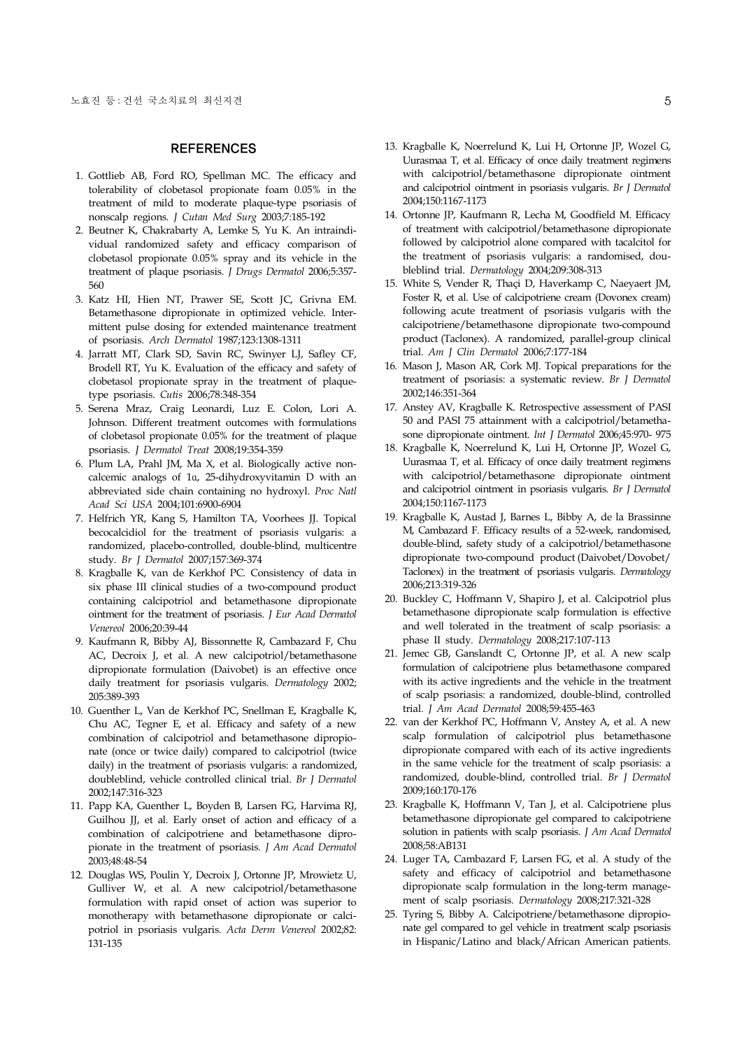## **REFERENCES**

- 1. Gottlieb AB, Ford RO, Spellman MC. The efficacy and tolerability of clobetasol propionate foam 0.05% in the treatment of mild to moderate plaque-type psoriasis of nonscalp regions. *J Cutan Med Surg* 2003;7:185-192
- 2. Beutner K, Chakrabarty A, Lemke S, Yu K. An intraindividual randomized safety and efficacy comparison of clobetasol propionate 0.05% spray and its vehicle in the treatment of plaque psoriasis. *J Drugs Dermatol* 2006;5:357- 560
- 3. Katz HI, Hien NT, Prawer SE, Scott JC, Grivna EM. Betamethasone dipropionate in optimized vehicle. Intermittent pulse dosing for extended maintenance treatment of psoriasis. *Arch Dermatol* 1987;123:1308-1311
- 4. Jarratt MT, Clark SD, Savin RC, Swinyer LJ, Safley CF, Brodell RT, Yu K. Evaluation of the efficacy and safety of clobetasol propionate spray in the treatment of plaquetype psoriasis. *Cutis* 2006;78:348-354
- 5. Serena Mraz, Craig Leonardi, Luz E. Colon, Lori A. Johnson. Different treatment outcomes with formulations of clobetasol propionate 0.05% for the treatment of plaque psoriasis. *J Dermatol Treat* 2008;19:354-359
- 6. Plum LA, Prahl JM, Ma X, et al. Biologically active noncalcemic analogs of 1ɑ, 25-dihydroxyvitamin D with an abbreviated side chain containing no hydroxyl. *Proc Natl Acad Sci USA* 2004;101:6900-6904
- 7. Helfrich YR, Kang S, Hamilton TA, Voorhees JJ. Topical becocalcidiol for the treatment of psoriasis vulgaris: a randomized, placebo-controlled, double-blind, multicentre study. *Br J Dermatol* 2007;157:369-374
- 8. Kragballe K, van de Kerkhof PC. Consistency of data in six phase III clinical studies of a two-compound product containing calcipotriol and betamethasone dipropionate ointment for the treatment of psoriasis. *J Eur Acad Dermatol Venereol* 2006;20:39-44
- 9. Kaufmann R, Bibby AJ, Bissonnette R, Cambazard F, Chu AC, Decroix J, et al. A new calcipotriol/betamethasone dipropionate formulation (Daivobet) is an effective once daily treatment for psoriasis vulgaris. *Dermatology* 2002; 205:389-393
- 10. Guenther L, Van de Kerkhof PC, Snellman E, Kragballe K, Chu AC, Tegner E, et al. Efficacy and safety of a new combination of calcipotriol and betamethasone dipropionate (once or twice daily) compared to calcipotriol (twice daily) in the treatment of psoriasis vulgaris: a randomized, doubleblind, vehicle controlled clinical trial. *Br J Dermatol* 2002;147:316-323
- 11. Papp KA, Guenther L, Boyden B, Larsen FG, Harvima RJ, Guilhou JJ, et al. Early onset of action and efficacy of a combination of calcipotriene and betamethasone dipropionate in the treatment of psoriasis. *J Am Acad Dermatol* 2003;48:48-54
- 12. Douglas WS, Poulin Y, Decroix J, Ortonne JP, Mrowietz U, Gulliver W, et al. A new calcipotriol/betamethasone formulation with rapid onset of action was superior to monotherapy with betamethasone dipropionate or calcipotriol in psoriasis vulgaris. *Acta Derm Venereol* 2002;82: 131-135
- 13. Kragballe K, Noerrelund K, Lui H, Ortonne JP, Wozel G, Uurasmaa T, et al. Efficacy of once daily treatment regimens with calcipotriol/betamethasone dipropionate ointment and calcipotriol ointment in psoriasis vulgaris. *Br J Dermatol* 2004;150:1167-1173
- 14. Ortonne JP, Kaufmann R, Lecha M, Goodfield M. Efficacy of treatment with calcipotriol/betamethasone dipropionate followed by calcipotriol alone compared with tacalcitol for the treatment of psoriasis vulgaris: a randomised, doubleblind trial. *Dermatology* 2004;209:308-313
- 15. White S, Vender R, Thaçi D, Haverkamp C, Naeyaert JM, Foster R, et al. Use of calcipotriene cream (Dovonex cream) following acute treatment of psoriasis vulgaris with the calcipotriene/betamethasone dipropionate two-compound product (Taclonex). A randomized, parallel-group clinical trial. *Am J Clin Dermatol* 2006;7:177-184
- 16. Mason J, Mason AR, Cork MJ. Topical preparations for the treatment of psoriasis: a systematic review. *Br J Dermatol* 2002;146:351-364
- 17. Anstey AV, Kragballe K. Retrospective assessment of PASI 50 and PASI 75 attainment with a calcipotriol/betamethasone dipropionate ointment. *Int J Dermatol* 2006;45:970- 975
- 18. Kragballe K, Noerrelund K, Lui H, Ortonne JP, Wozel G, Uurasmaa T, et al. Efficacy of once daily treatment regimens with calcipotriol/betamethasone dipropionate ointment and calcipotriol ointment in psoriasis vulgaris. *Br J Dermatol* 2004;150:1167-1173
- 19. Kragballe K, Austad J, Barnes L, Bibby A, de la Brassinne M, Cambazard F. Efficacy results of a 52-week, randomised, double-blind, safety study of a calcipotriol/betamethasone dipropionate two-compound product (Daivobet/Dovobet/ Taclonex) in the treatment of psoriasis vulgaris. *Dermatology* 2006;213:319-326
- 20. Buckley C, Hoffmann V, Shapiro J, et al. Calcipotriol plus betamethasone dipropionate scalp formulation is effective and well tolerated in the treatment of scalp psoriasis: a phase II study. *Dermatology* 2008;217:107-113
- 21. Jemec GB, Ganslandt C, Ortonne JP, et al. A new scalp formulation of calcipotriene plus betamethasone compared with its active ingredients and the vehicle in the treatment of scalp psoriasis: a randomized, double-blind, controlled trial. *J Am Acad Dermatol* 2008;59:455-463
- 22. van der Kerkhof PC, Hoffmann V, Anstey A, et al. A new scalp formulation of calcipotriol plus betamethasone dipropionate compared with each of its active ingredients in the same vehicle for the treatment of scalp psoriasis: a randomized, double-blind, controlled trial. *Br J Dermatol* 2009;160:170-176
- 23. Kragballe K, Hoffmann V, Tan J, et al. Calcipotriene plus betamethasone dipropionate gel compared to calcipotriene solution in patients with scalp psoriasis. *J Am Acad Dermatol* 2008;58:AB131
- 24. Luger TA, Cambazard F, Larsen FG, et al. A study of the safety and efficacy of calcipotriol and betamethasone dipropionate scalp formulation in the long-term management of scalp psoriasis. *Dermatology* 2008;217:321-328
- 25. Tyring S, Bibby A. Calcipotriene/betamethasone dipropionate gel compared to gel vehicle in treatment scalp psoriasis in Hispanic/Latino and black/African American patients.